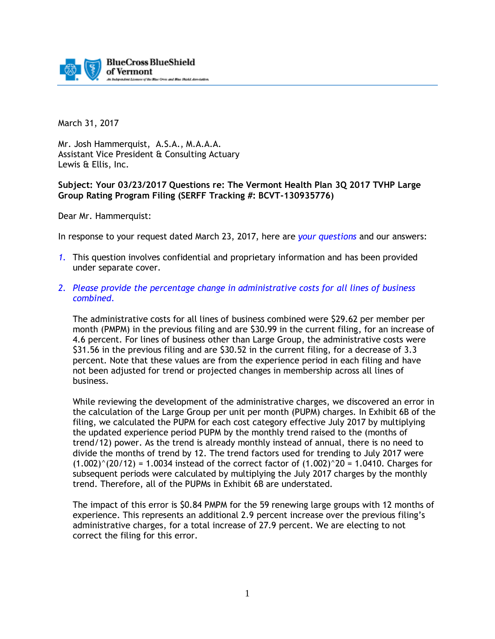

March 31, 2017

Mr. Josh Hammerquist, A.S.A., M.A.A.A. Assistant Vice President & Consulting Actuary Lewis & Ellis, Inc.

## **Subject: Your 03/23/2017 Questions re: The Vermont Health Plan 3Q 2017 TVHP Large Group Rating Program Filing (SERFF Tracking #: BCVT-130935776)**

Dear Mr. Hammerquist:

In response to your request dated March 23, 2017, here are *your questions* and our answers:

- *1.* This question involves confidential and proprietary information and has been provided under separate cover.
- *2. Please provide the percentage change in administrative costs for all lines of business combined.*

The administrative costs for all lines of business combined were \$29.62 per member per month (PMPM) in the previous filing and are \$30.99 in the current filing, for an increase of 4.6 percent. For lines of business other than Large Group, the administrative costs were \$31.56 in the previous filing and are \$30.52 in the current filing, for a decrease of 3.3 percent. Note that these values are from the experience period in each filing and have not been adjusted for trend or projected changes in membership across all lines of business.

While reviewing the development of the administrative charges, we discovered an error in the calculation of the Large Group per unit per month (PUPM) charges. In Exhibit 6B of the filing, we calculated the PUPM for each cost category effective July 2017 by multiplying the updated experience period PUPM by the monthly trend raised to the (months of trend/12) power. As the trend is already monthly instead of annual, there is no need to divide the months of trend by 12. The trend factors used for trending to July 2017 were  $(1.002)^{\hat{ }}(20/12) = 1.0034$  instead of the correct factor of  $(1.002)^{\hat{ }}20 = 1.0410$ . Charges for subsequent periods were calculated by multiplying the July 2017 charges by the monthly trend. Therefore, all of the PUPMs in Exhibit 6B are understated.

The impact of this error is \$0.84 PMPM for the 59 renewing large groups with 12 months of experience. This represents an additional 2.9 percent increase over the previous filing's administrative charges, for a total increase of 27.9 percent. We are electing to not correct the filing for this error.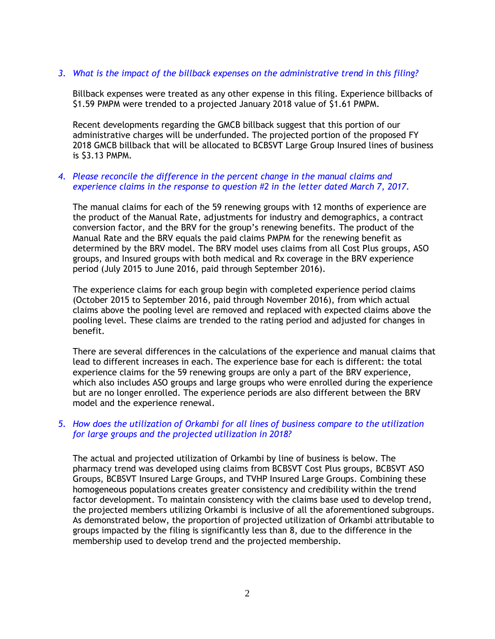## *3. What is the impact of the billback expenses on the administrative trend in this filing?*

Billback expenses were treated as any other expense in this filing. Experience billbacks of \$1.59 PMPM were trended to a projected January 2018 value of \$1.61 PMPM.

Recent developments regarding the GMCB billback suggest that this portion of our administrative charges will be underfunded. The projected portion of the proposed FY 2018 GMCB billback that will be allocated to BCBSVT Large Group Insured lines of business is \$3.13 PMPM.

## *4. Please reconcile the difference in the percent change in the manual claims and experience claims in the response to question #2 in the letter dated March 7, 2017.*

The manual claims for each of the 59 renewing groups with 12 months of experience are the product of the Manual Rate, adjustments for industry and demographics, a contract conversion factor, and the BRV for the group's renewing benefits. The product of the Manual Rate and the BRV equals the paid claims PMPM for the renewing benefit as determined by the BRV model. The BRV model uses claims from all Cost Plus groups, ASO groups, and Insured groups with both medical and Rx coverage in the BRV experience period (July 2015 to June 2016, paid through September 2016).

The experience claims for each group begin with completed experience period claims (October 2015 to September 2016, paid through November 2016), from which actual claims above the pooling level are removed and replaced with expected claims above the pooling level. These claims are trended to the rating period and adjusted for changes in benefit.

There are several differences in the calculations of the experience and manual claims that lead to different increases in each. The experience base for each is different: the total experience claims for the 59 renewing groups are only a part of the BRV experience, which also includes ASO groups and large groups who were enrolled during the experience but are no longer enrolled. The experience periods are also different between the BRV model and the experience renewal.

# *5. How does the utilization of Orkambi for all lines of business compare to the utilization for large groups and the projected utilization in 2018?*

The actual and projected utilization of Orkambi by line of business is below. The pharmacy trend was developed using claims from BCBSVT Cost Plus groups, BCBSVT ASO Groups, BCBSVT Insured Large Groups, and TVHP Insured Large Groups. Combining these homogeneous populations creates greater consistency and credibility within the trend factor development. To maintain consistency with the claims base used to develop trend, the projected members utilizing Orkambi is inclusive of all the aforementioned subgroups. As demonstrated below, the proportion of projected utilization of Orkambi attributable to groups impacted by the filing is significantly less than 8, due to the difference in the membership used to develop trend and the projected membership.